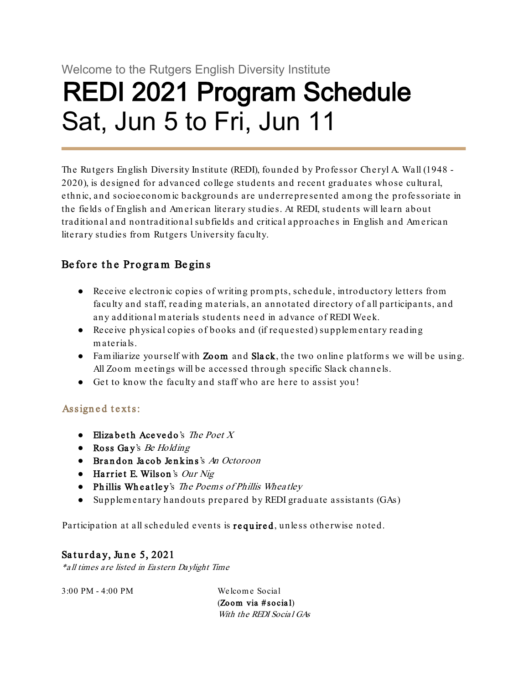# Welcome to the Rutgers English Diversity Institute REDI 2021 Program Schedule Sat, Jun 5 to Fri, Jun 11

The Rutgers English Diversity Institute (REDI), founded by Professor Cheryl A. Wall (1948 - 2020), is designed for advanced college students and recent graduates whose cultural, ethnic, and socioeconom ic backgrounds are underrepresented am ong the professoriate in the fields of English and Am erican literary studies. At REDI, students will learn about traditional and nontraditional subfields and critical approaches in English and Am erican literary studies from Rutgers University faculty.

### Before the Program Begins

- Receive electronic copies of writing prom pts, schedule, introductory letters from faculty and staff, reading m aterials, an annotated directory of all participants, and any additional m aterials students need in advance of REDI Week.
- Receive physical copies of books and (if requested) supplem entary reading m aterials.
- Fam iliarize yourself with Zoom and Sla ck, the two online platform s we will be using. All Zoom m eetings will be accessed through specific Slack channels.
- Get to know the faculty and staff who are here to assist you!

#### Assigned texts:

- Elizabeth Acevedo's The Poet X
- $\bullet$  Ross Gay's Be Holding
- Brandon Jacob Jenkins's An Octoroon
- $\bullet$  Harriet E. Wilson's Our Nig
- Phillis Wheatley's The Poems of Phillis Wheatley
- Supplem entary handouts prepared by REDI graduate assistants (GAs)

Participation at all scheduled events is required, unless otherwise noted.

#### Saturday, June 5, 2021

\*all times are listed in Eastern Daylight Time

3:00 PM - 4:00 PM Welcome Social

 $(Zoom via # social)$ With the REDI Social GAs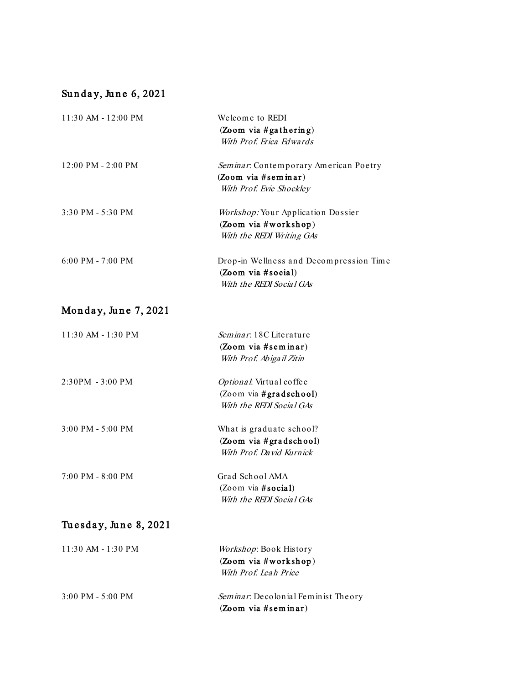## Sunday, June 6, 2021

| 11:30 AM - 12:00 PM    | Welcome to REDI<br>(Zoom via #gathering)<br>With Prof. Erica Edwards                      |
|------------------------|-------------------------------------------------------------------------------------------|
| $12:00$ PM - $2:00$ PM | Seminar: Contemporary American Poetry<br>(Zoom via #seminar)<br>With Prof. Evie Shockley  |
| 3:30 PM - 5:30 PM      | Workshop: Your Application Dossier<br>(Zoom via #workshop)<br>With the REDI Writing GAs   |
| $6:00$ PM - 7:00 PM    | Drop-in Wellness and Decompression Time<br>(Zoom via #social)<br>With the REDI Social GAs |
| Monday, June 7, 2021   |                                                                                           |
| 11:30 AM - 1:30 PM     | Seminar: 18C Literature<br>(Zoom via #seminar)<br>With Prof. Abigail Zitin                |
| 2:30PM - 3:00 PM       | Optional. Virtual coffee<br>(Zoom via #gradschool)<br>With the REDI Social GAs            |
| 3:00 PM - 5:00 PM      | What is graduate school?<br>(Zoom via #gradschool)<br>With Prof. David Kurnick            |
| 7:00 PM - 8:00 PM      | Grad School AMA<br>(Zoom via #social)<br>With the REDI Social GAs                         |
| Tuesday, June 8, 2021  |                                                                                           |
| $11:30$ AM - $1:30$ PM | Workshop: Book History<br>(Zoom via #workshop)<br>With Prof. Leah Price                   |
| $3:00$ PM $-5:00$ PM   | Seminar: Decolonial Feminist Theory<br>(Zoom via #seminar)                                |